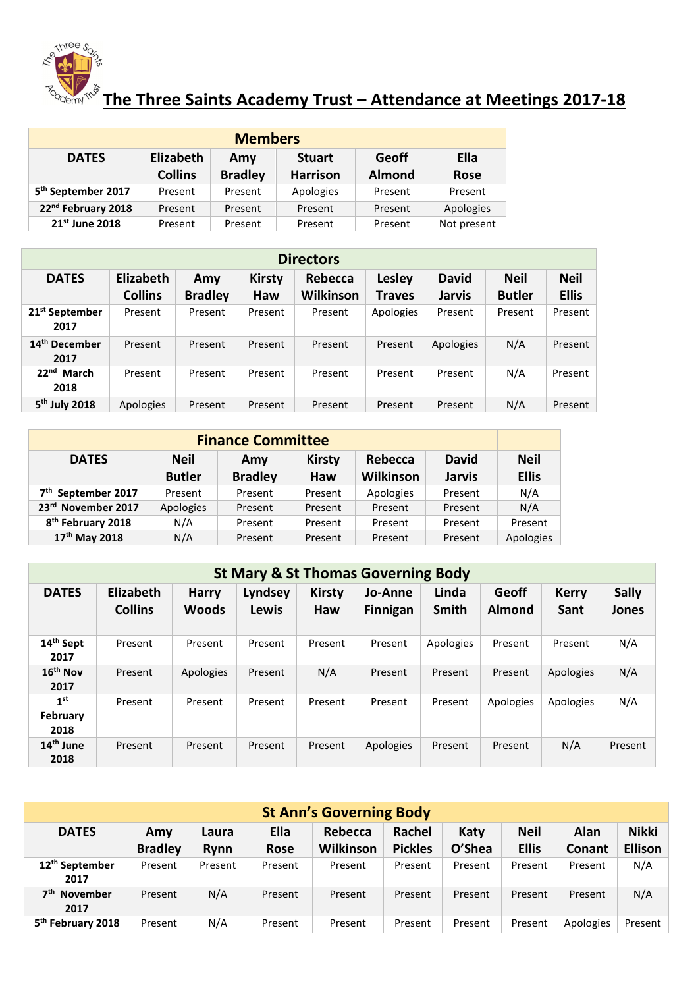

## $\mathcal{L}_{\text{Cov}}^{\text{gauge}}$   $\mathcal{L}_{\text{Cov}}^{\text{gauge}}$  The Three Saints Academy Trust – Attendance at Meetings 2017-18

| <b>Members</b>                 |                |                |                 |               |             |  |  |  |  |
|--------------------------------|----------------|----------------|-----------------|---------------|-------------|--|--|--|--|
| <b>DATES</b>                   | Elizabeth      | Amy            | <b>Stuart</b>   | <b>Geoff</b>  | Ella        |  |  |  |  |
|                                | <b>Collins</b> | <b>Bradley</b> | <b>Harrison</b> | <b>Almond</b> | <b>Rose</b> |  |  |  |  |
| 5 <sup>th</sup> September 2017 | Present        | Present        | Apologies       | Present       | Present     |  |  |  |  |
| 22 <sup>nd</sup> February 2018 | Present        | Present        | Present         | Present       | Apologies   |  |  |  |  |
| 21 <sup>st</sup> June 2018     | Present        | Present        | Present         | Present       | Not present |  |  |  |  |

| <b>Directors</b>                   |                             |                       |                             |                      |                         |                               |                              |                             |  |  |
|------------------------------------|-----------------------------|-----------------------|-----------------------------|----------------------|-------------------------|-------------------------------|------------------------------|-----------------------------|--|--|
| <b>DATES</b>                       | Elizabeth<br><b>Collins</b> | Amy<br><b>Bradley</b> | <b>Kirsty</b><br><b>Haw</b> | Rebecca<br>Wilkinson | <b>Lesley</b><br>Traves | <b>David</b><br><b>Jarvis</b> | <b>Neil</b><br><b>Butler</b> | <b>Neil</b><br><b>Ellis</b> |  |  |
| 21 <sup>st</sup> September<br>2017 | Present                     | Present               | Present                     | Present              | Apologies               | Present                       | Present                      | Present                     |  |  |
| 14 <sup>th</sup> December<br>2017  | Present                     | Present               | Present                     | Present              | Present                 | Apologies                     | N/A                          | Present                     |  |  |
| 22 <sup>nd</sup> March<br>2018     | Present                     | Present               | Present                     | Present              | Present                 | Present                       | N/A                          | Present                     |  |  |
| 5 <sup>th</sup> July 2018          | Apologies                   | Present               | Present                     | Present              | Present                 | Present                       | N/A                          | Present                     |  |  |

| <b>Finance Committee</b>       |                                                                |                |         |           |               |              |  |  |  |
|--------------------------------|----------------------------------------------------------------|----------------|---------|-----------|---------------|--------------|--|--|--|
| <b>DATES</b>                   | <b>David</b><br>Rebecca<br><b>Neil</b><br><b>Kirsty</b><br>Amy |                |         |           |               |              |  |  |  |
|                                | <b>Butler</b>                                                  | <b>Bradley</b> | Haw     | Wilkinson | <b>Jarvis</b> | <b>Ellis</b> |  |  |  |
| 7 <sup>th</sup> September 2017 | Present                                                        | Present        | Present | Apologies | Present       | N/A          |  |  |  |
| 23rd November 2017             | Apologies                                                      | Present        | Present | Present   | Present       | N/A          |  |  |  |
| 8 <sup>th</sup> February 2018  | N/A                                                            | Present        | Present | Present   | Present       | Present      |  |  |  |
| 17th May 2018                  | N/A                                                            | Present        | Present | Present   | Present       | Apologies    |  |  |  |

|                                     | <b>St Mary &amp; St Thomas Governing Body</b> |                              |                  |                      |                            |                |                        |                      |                       |  |  |
|-------------------------------------|-----------------------------------------------|------------------------------|------------------|----------------------|----------------------------|----------------|------------------------|----------------------|-----------------------|--|--|
| <b>DATES</b>                        | Elizabeth<br><b>Collins</b>                   | <b>Harry</b><br><b>Woods</b> | Lyndsey<br>Lewis | <b>Kirsty</b><br>Haw | Jo-Anne<br><b>Finnigan</b> | Linda<br>Smith | Geoff<br><b>Almond</b> | <b>Kerry</b><br>Sant | <b>Sally</b><br>Jones |  |  |
| 14 <sup>th</sup> Sept<br>2017       | Present                                       | Present                      | Present          | Present              | Present                    | Apologies      | Present                | Present              | N/A                   |  |  |
| $16th$ Nov<br>2017                  | Present                                       | Apologies                    | Present          | N/A                  | Present                    | Present        | Present                | Apologies            | N/A                   |  |  |
| 1 <sup>st</sup><br>February<br>2018 | Present                                       | Present                      | Present          | Present              | Present                    | Present        | Apologies              | Apologies            | N/A                   |  |  |
| 14 <sup>th</sup> June<br>2018       | Present                                       | Present                      | Present          | Present              | Apologies                  | Present        | Present                | N/A                  | Present               |  |  |

| <b>St Ann's Governing Body</b>      |                       |                       |                     |                      |                          |                |                             |                |                         |
|-------------------------------------|-----------------------|-----------------------|---------------------|----------------------|--------------------------|----------------|-----------------------------|----------------|-------------------------|
| <b>DATES</b>                        | Amy<br><b>Bradley</b> | Laura<br><b>R</b> vnn | Ella<br><b>Rose</b> | Rebecca<br>Wilkinson | Rachel<br><b>Pickles</b> | Katy<br>O'Shea | <b>Neil</b><br><b>Ellis</b> | Alan<br>Conant | Nikki<br><b>Ellison</b> |
| 12 <sup>th</sup> September<br>2017  | Present               | Present               | Present             | Present              | Present                  | Present        | Present                     | Present        | N/A                     |
| 7 <sup>th</sup><br>November<br>2017 | Present               | N/A                   | Present             | Present              | Present                  | Present        | Present                     | Present        | N/A                     |
| 5 <sup>th</sup> February 2018       | Present               | N/A                   | Present             | Present              | Present                  | Present        | Present                     | Apologies      | Present                 |